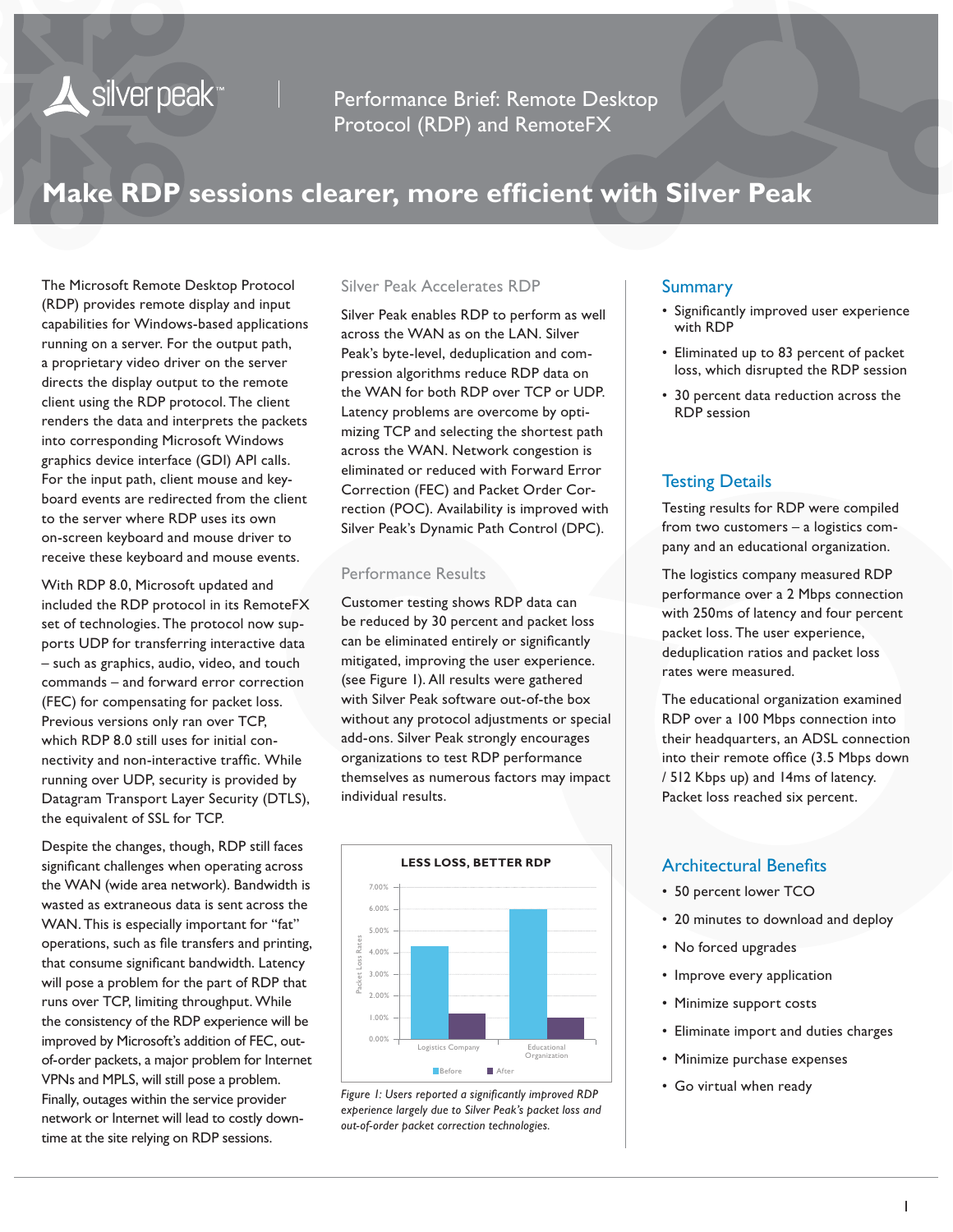Performance Brief: Remote Desktop Protocol (RDP) and RemoteFX

# **Make RDP sessions clearer, more efficient with Silver Peak**

The Microsoft Remote Desktop Protocol (RDP) provides remote display and input capabilities for Windows-based applications running on a server. For the output path, a proprietary video driver on the server directs the display output to the remote client using the RDP protocol. The client renders the data and interprets the packets into corresponding Microsoft Windows graphics device interface (GDI) API calls. For the input path, client mouse and keyboard events are redirected from the client to the server where RDP uses its own on-screen keyboard and mouse driver to receive these keyboard and mouse events.

Silver peak<sup>\*\*</sup>

With RDP 8.0, Microsoft updated and included the RDP protocol in its RemoteFX set of technologies. The protocol now supports UDP for transferring interactive data – such as graphics, audio, video, and touch commands – and forward error correction (FEC) for compensating for packet loss. Previous versions only ran over TCP, which RDP 8.0 still uses for initial connectivity and non-interactive traffic. While running over UDP, security is provided by Datagram Transport Layer Security (DTLS), the equivalent of SSL for TCP.

Despite the changes, though, RDP still faces significant challenges when operating across the WAN (wide area network). Bandwidth is wasted as extraneous data is sent across the WAN. This is especially important for "fat" operations, such as file transfers and printing, that consume significant bandwidth. Latency will pose a problem for the part of RDP that runs over TCP, limiting throughput. While the consistency of the RDP experience will be improved by Microsoft's addition of FEC, outof-order packets, a major problem for Internet VPNs and MPLS, will still pose a problem. Finally, outages within the service provider network or Internet will lead to costly downtime at the site relying on RDP sessions.

#### Silver Peak Accelerates RDP

Silver Peak enables RDP to perform as well across the WAN as on the LAN. Silver Peak's byte-level, deduplication and compression algorithms reduce RDP data on the WAN for both RDP over TCP or UDP. Latency problems are overcome by optimizing TCP and selecting the shortest path across the WAN. Network congestion is eliminated or reduced with Forward Error Correction (FEC) and Packet Order Correction (POC). Availability is improved with Silver Peak's Dynamic Path Control (DPC).

### Performance Results

Customer testing shows RDP data can be reduced by 30 percent and packet loss can be eliminated entirely or significantly mitigated, improving the user experience. (see Figure 1). All results were gathered with Silver Peak software out-of-the box without any protocol adjustments or special add-ons. Silver Peak strongly encourages organizations to test RDP performance themselves as numerous factors may impact individual results.



*Figure 1: Users reported a significantly improved RDP experience largely due to Silver Peak's packet loss and out-of-order packet correction technologies.* 

#### Summary

- Significantly improved user experience with RDP
- Eliminated up to 83 percent of packet loss, which disrupted the RDP session
- 30 percent data reduction across the RDP session

#### Testing Details

Testing results for RDP were compiled from two customers – a logistics company and an educational organization.

The logistics company measured RDP performance over a 2 Mbps connection with 250ms of latency and four percent packet loss. The user experience, deduplication ratios and packet loss rates were measured.

The educational organization examined RDP over a 100 Mbps connection into their headquarters, an ADSL connection into their remote office (3.5 Mbps down / 512 Kbps up) and 14ms of latency. Packet loss reached six percent.

# Architectural Benefits

- 50 percent lower TCO
- 20 minutes to download and deploy
- No forced upgrades
- Improve every application
- Minimize support costs
- Eliminate import and duties charges
- Minimize purchase expenses
- Go virtual when ready